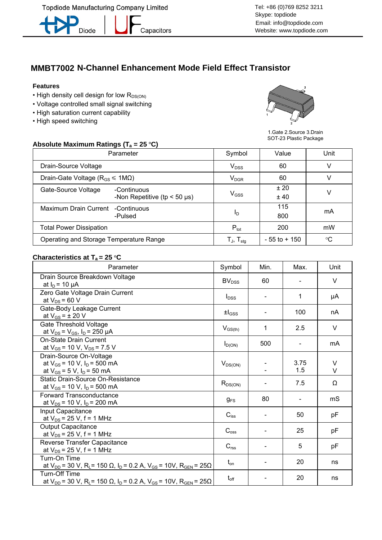**Topdiode Manufacturing Company Limited** 



Capacitors

## **MMBT7002 N-Channel Enhancement Mode Field Effect Transistor**

### **Features**

- $\cdot$  High density cell design for low  $R_{DS(ON)}$
- Voltage controlled small signal switching
- High saturation current capability
- High speed switching



1.Gate 2.Source 3.Drain SOT-23 Plastic Package

### Absolute Maximum Ratings (T<sub>a</sub> = 25 °C)

| Parameter                                                            | Symbol                                | Value           | Unit            |
|----------------------------------------------------------------------|---------------------------------------|-----------------|-----------------|
| Drain-Source Voltage                                                 | $V_{DSS}$                             | 60              |                 |
| Drain-Gate Voltage ( $R_{GS} \leq 1 M\Omega$ )                       | $V_{DGR}$                             | 60              |                 |
| Gate-Source Voltage<br>-Continuous<br>-Non Repetitive (tp $<$ 50 µs) | $\mathsf{V}_{\mathsf{GSS}}$           | ±20<br>±40      |                 |
| Maximum Drain Current<br>-Continuous<br>-Pulsed                      | I <sub>D</sub>                        | 115<br>800      | mA              |
| <b>Total Power Dissipation</b>                                       | $P_{\text{tot}}$                      | 200             | mW              |
| Operating and Storage Temperature Range                              | ${\sf T_{\sf J}},\,{\sf T_{\sf stq}}$ | $-55$ to $+150$ | $\rm ^{\circ}C$ |

#### **Characteristics at T<sub>a</sub> = 25 °C**

| Parameter                                                                                                                                          | Symbol                        | Min. | Max.           | Unit        |
|----------------------------------------------------------------------------------------------------------------------------------------------------|-------------------------------|------|----------------|-------------|
| Drain Source Breakdown Voltage<br>at $I_D$ = 10 $\mu$ A                                                                                            | BV <sub>DSS</sub>             | 60   |                | $\vee$      |
| Zero Gate Voltage Drain Current<br>at $V_{DS}$ = 60 V                                                                                              | $I_{DSS}$                     |      | 1              | μA          |
| Gate-Body Leakage Current<br>at $V_{GS}$ = $\pm$ 20 V                                                                                              | $\pm$ <sub>GSS</sub>          |      | 100            | nA          |
| Gate Threshold Voltage<br>at $V_{DS} = V_{GS}$ , $I_D = 250 \mu A$                                                                                 | $V_{GS(th)}$                  | 1    | 2.5            | V           |
| <b>On-State Drain Current</b><br>at $V_{GS}$ = 10 V, $V_{DS}$ = 7.5 V                                                                              | $I_{D(ON)}$                   | 500  |                | mA          |
| Drain-Source On-Voltage<br>at $V_{GS}$ = 10 V, $I_D$ = 500 mA<br>at $V_{GS}$ = 5 V, $I_D$ = 50 mA                                                  | $V_{DS(ON)}$                  |      | 3.75<br>1.5    | V<br>$\vee$ |
| Static Drain-Source On-Resistance<br>at $V_{GS}$ = 10 V, $I_D$ = 500 mA                                                                            | $R_{DS(ON)}$                  |      | 7.5            | Ω           |
| Forward Transconductance<br>at $V_{DS}$ = 10 V, $I_D$ = 200 mA                                                                                     | $g_{FS}$                      | 80   | $\blacksquare$ | mS          |
| Input Capacitance<br>at $V_{DS}$ = 25 V, f = 1 MHz                                                                                                 | $C_{\hbox{\scriptsize{iss}}}$ |      | 50             | pF          |
| <b>Output Capacitance</b><br>at $V_{DS}$ = 25 V, f = 1 MHz                                                                                         | $C_{\text{oss}}$              |      | 25             | pF          |
| Reverse Transfer Capacitance<br>at $V_{DS}$ = 25 V, f = 1 MHz                                                                                      | $C_{\text{rss}}$              |      | 5              | pF          |
| Turn-On Time<br>at $V_{DD}$ = 30 V, R <sub>L</sub> = 150 $\Omega$ , I <sub>D</sub> = 0.2 A, V <sub>GS</sub> = 10V, R <sub>GEN</sub> = 25 $\Omega$  | $t_{\text{on}}$               |      | 20             | ns          |
| Turn-Off Time<br>at $V_{DD}$ = 30 V, R <sub>L</sub> = 150 $\Omega$ , I <sub>D</sub> = 0.2 A, V <sub>GS</sub> = 10V, R <sub>GEN</sub> = 25 $\Omega$ | $t_{\text{off}}$              |      | 20             | ns          |